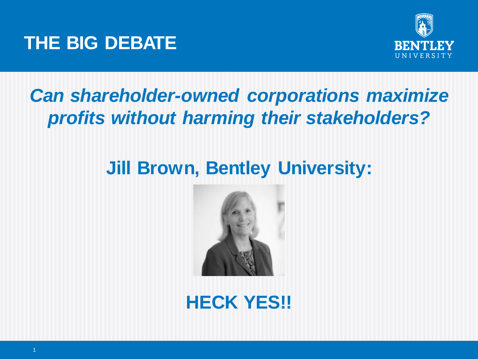



# *Can shareholder-owned corporations maximize profits without harming their stakeholders?*

# **Jill Brown, Bentley University:**



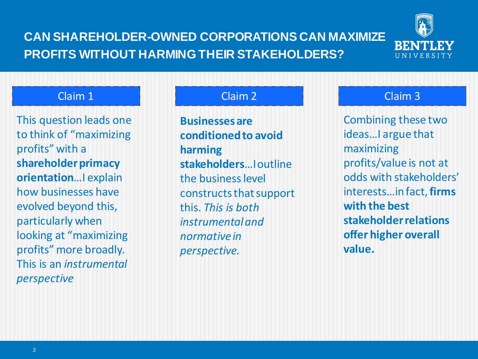## **CAN SHAREHOLDER-OWNED CORPORATIONS CAN MAXIMIZE PROFITS WITHOUT HARMING THEIR STAKEHOLDERS?**



### Claim 1 Claim 1 Claim 2 Claim 2 Claim 3

This question leads one to think of "maximizing profits" with a **shareholder primacy orientation**…I explain how businesses have evolved beyond this, particularly when looking at "maximizing profits" more broadly. This is an *instrumental perspective*

**Businesses are conditioned to avoid harming stakeholders**…I outline the business level constructs that support this. *This is both instrumental and normative in perspective.*

Combining these two ideas…I argue that maximizing profits/value is not at odds with stakeholders' interests…in fact, **firms with the best stakeholder relations offer higher overall value.**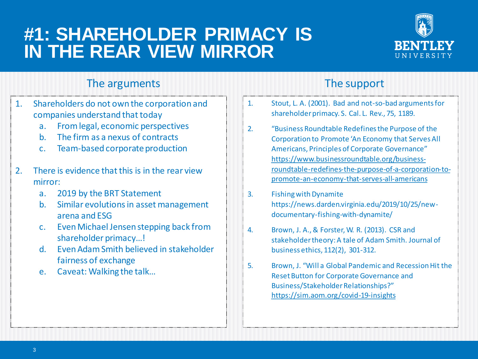## **#1: SHAREHOLDER PRIMACY IS IN THE REAR VIEW MIRROR**



### The arguments The support

- 1. Shareholders do not own the corporation and companies understand that today
	- a. From legal, economic perspectives
	- b. The firm as a nexus of contracts
	- c. Team-based corporate production
- 2. There is evidence that this is in the rear view mirror:
	- a. 2019 by the BRT Statement
	- b. Similar evolutions in asset management arena and ESG
	- c. Even Michael Jensen stepping back from shareholder primacy…!
	- d. Even Adam Smith believed in stakeholder fairness of exchange
	- e. Caveat: Walking the talk…

- 1. Stout, L. A. (2001). Bad and not-so-bad arguments for shareholder primacy. S. Cal. L. Rev., 75, 1189.
- 2. "Business Roundtable Redefines the Purpose of the Corporation to Promote 'An Economy that Serves All Americans, Principles of Corporate Governance" https://www.businessroundtable.org/business[roundtable-redefines-the-purpose-of-a-corporation-to](https://www.businessroundtable.org/business-roundtable-redefines-the-purpose-of-a-corporation-to-promote-an-economy-that-serves-all-americans)promote-an-economy-that-serves-all-americans
- 3. Fishing with Dynamite https://news.darden.virginia.edu/2019/10/25/newdocumentary-fishing-with-dynamite/
- 4. Brown, J. A., & Forster, W. R. (2013). CSR and stakeholder theory: A tale of Adam Smith. Journal of business ethics, 112(2), 301-312.
- 5. Brown, J. "Will a Global Pandemic and Recession Hit the Reset Button for Corporate Governance and Business/Stakeholder Relationships?" <https://sim.aom.org/covid-19-insights>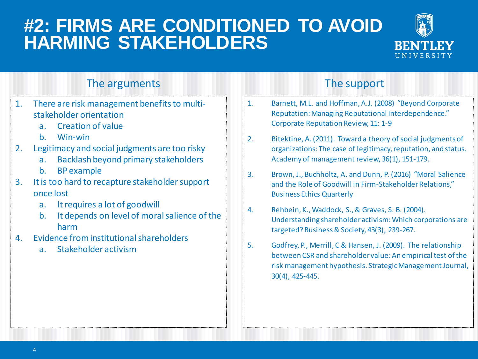# **#2: FIRMS ARE CONDITIONED TO AVOID HARMING STAKEHOLDERS**



## The arguments The support

- 1. There are risk management benefits to multistakeholder orientation
	- a. Creation of value
	- b. Win-win
- 2. Legitimacy and social judgments are too risky
	- a. Backlash beyond primary stakeholders
	- b. BP example
- 3. It is too hard to recapture stakeholder support once lost
	- a. It requires a lot of goodwill
	- b. It depends on level of moral salience of the harm
- 4. Evidence from institutional shareholders
	- a. Stakeholder activism

- 1. Barnett, M.L. and Hoffman, A.J. (2008) "Beyond Corporate Reputation: Managing Reputational Interdependence." Corporate Reputation Review, 11: 1-9
- 2. Bitektine, A. (2011). Toward a theory of social judgments of organizations: The case of legitimacy, reputation, and status. Academy of management review, 36(1), 151-179.
- 3. Brown, J., Buchholtz, A. and Dunn, P. (2016) "Moral Salience and the Role of Goodwill in Firm-Stakeholder Relations," Business Ethics Quarterly
- 4. Rehbein, K., Waddock, S., & Graves, S. B. (2004). Understanding shareholder activism: Which corporations are targeted? Business & Society, 43(3), 239-267.
- 5. Godfrey, P., Merrill, C & Hansen, J. (2009). The relationship between CSR and shareholder value: An empirical test of the risk management hypothesis. Strategic Management Journal, 30(4), 425-445.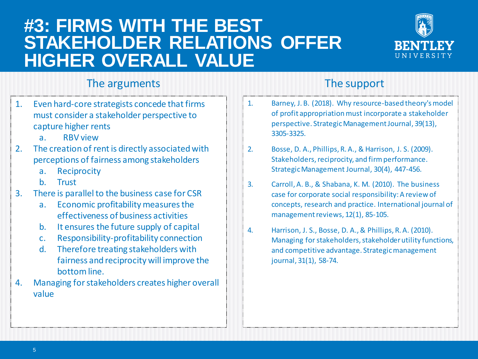## **#3: FIRMS WITH THE BEST STAKEHOLDER RELATIONS OFFER HIGHER OVERALL VALUE**



### The arguments The support

- 1. Even hard-core strategists concede that firms must consider a stakeholder perspective to capture higher rents
	- a. RBV view
- 2. The creation of rent is directly associated with perceptions of fairness among stakeholders
	- a. Reciprocity
	- b. Trust
- 3. There is parallel to the business case for CSR
	- a. Economic profitability measures the effectiveness of business activities
	- b. It ensures the future supply of capital
	- c. Responsibility-profitability connection
	- d. Therefore treating stakeholders with fairness and reciprocity will improve the bottom line.
- 4. Managing for stakeholders creates higher overall value

- 1. Barney, J. B. (2018). Why resource‐based theory's model of profit appropriation must incorporate a stakeholder perspective. Strategic Management Journal, 39(13), 3305-3325.
- 2. Bosse, D. A., Phillips, R. A., & Harrison, J. S. (2009). Stakeholders, reciprocity, and firm performance. Strategic Management Journal, 30(4), 447-456.
- 3. Carroll, A. B., & Shabana, K. M. (2010). The business case for corporate social responsibility: A review of concepts, research and practice. International journal of management reviews, 12(1), 85-105.
- 4. Harrison, J. S., Bosse, D. A., & Phillips, R. A. (2010). Managing for stakeholders, stakeholder utility functions, and competitive advantage. Strategic management journal, 31(1), 58-74.